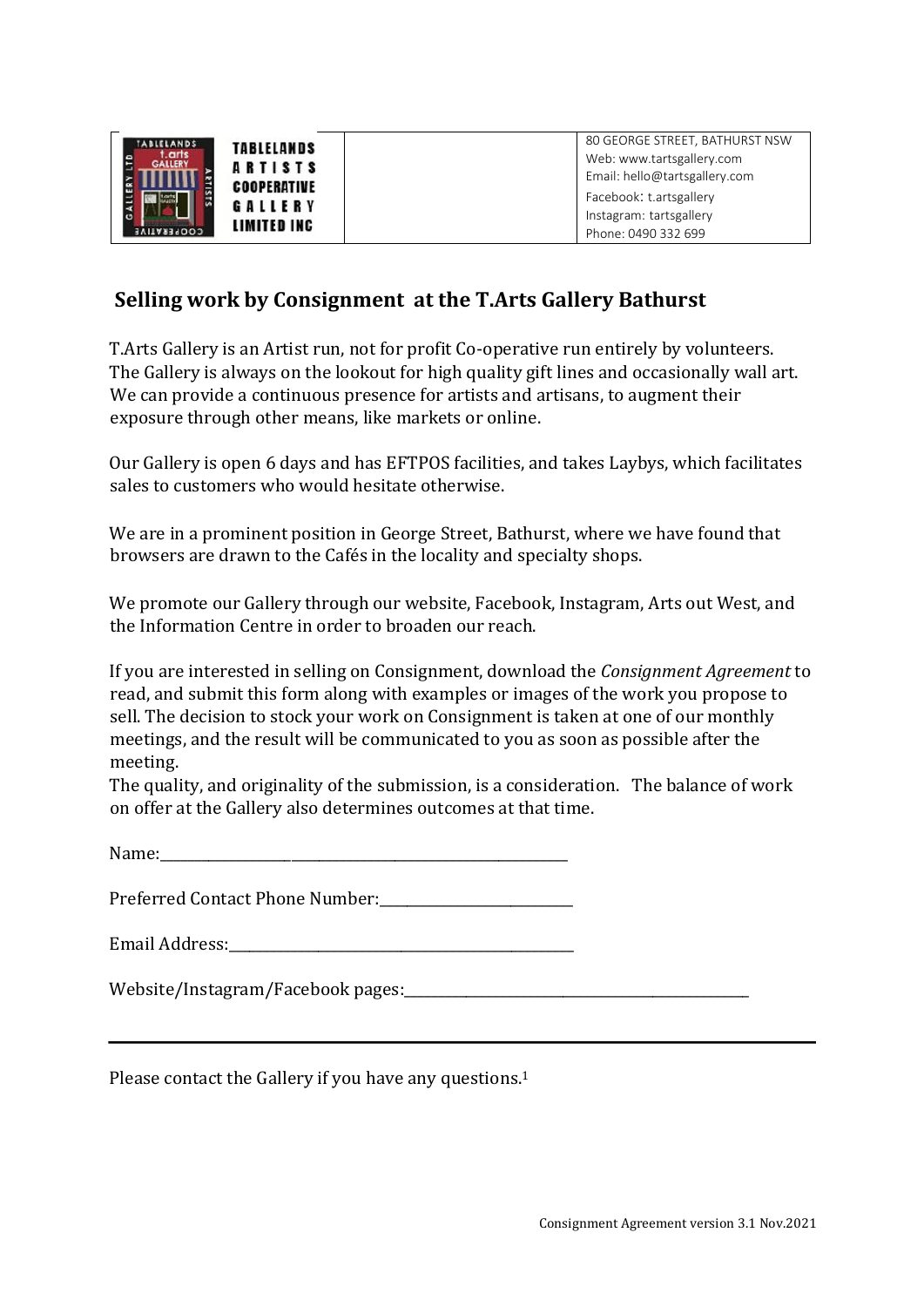| <b>ABLELANDS</b><br>r. arts.<br>GALLERY<br>۱ö | TABLELANDS<br><b>ARTISTS</b><br><b>COOPERATIVE</b><br>GALLERY | 80 GEORGE STREET, BATHURST NSW<br>Web: www.tartsgallery.com<br>Email: hello@tartsgallery.com<br>Facebook: t.artsgallery<br>Instagram: tartsgallery |
|-----------------------------------------------|---------------------------------------------------------------|----------------------------------------------------------------------------------------------------------------------------------------------------|
| COOPERATIVE                                   | LIMITED INC                                                   | Phone: 0490 332 699                                                                                                                                |

## **Selling work by Consignment at the T.Arts Gallery Bathurst**

T.Arts Gallery is an Artist run, not for profit Co-operative run entirely by volunteers. The Gallery is always on the lookout for high quality gift lines and occasionally wall art. We can provide a continuous presence for artists and artisans, to augment their exposure through other means, like markets or online.

Our Gallery is open 6 days and has EFTPOS facilities, and takes Laybys, which facilitates sales to customers who would hesitate otherwise.

We are in a prominent position in George Street, Bathurst, where we have found that browsers are drawn to the Cafés in the locality and specialty shops.

We promote our Gallery through our website, Facebook, Instagram, Arts out West, and the Information Centre in order to broaden our reach.

If you are interested in selling on Consignment, download the *Consignment Agreement* to read, and submit this form along with examples or images of the work you propose to sell. The decision to stock your work on Consignment is taken at one of our monthly meetings, and the result will be communicated to you as soon as possible after the meeting.

The quality, and originality of the submission, is a consideration. The balance of work on offer at the Gallery also determines outcomes at that time.

 $Name:$ 

Preferred Contact Phone Number:

Email Address:

Website/Instagram/Facebook pages:\_\_\_\_\_\_\_\_\_\_\_\_\_\_\_\_\_\_\_\_\_\_\_\_\_\_\_\_\_\_\_\_\_\_\_\_\_\_\_\_\_\_\_\_\_\_\_\_\_\_

Please contact the Gallery if you have any questions.<sup>1</sup>